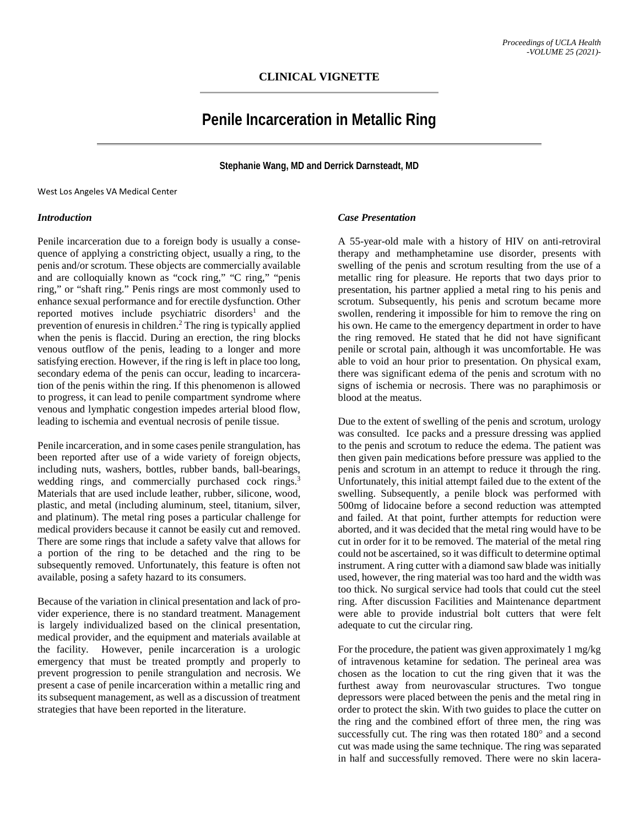# **Penile Incarceration in Metallic Ring**

**Stephanie Wang, MD and Derrick Darnsteadt, MD**

West Los Angeles VA Medical Center

#### *Introduction*

Penile incarceration due to a foreign body is usually a consequence of applying a constricting object, usually a ring, to the penis and/or scrotum. These objects are commercially available and are colloquially known as "cock ring," "C ring," "penis ring," or "shaft ring." Penis rings are most commonly used to enhance sexual performance and for erectile dysfunction. Other reported motives include psychiatric disorders<sup>1</sup> and the prevention of enuresis in children. <sup>2</sup> The ring is typically applied when the penis is flaccid. During an erection, the ring blocks venous outflow of the penis, leading to a longer and more satisfying erection. However, if the ring is left in place too long, secondary edema of the penis can occur, leading to incarceration of the penis within the ring. If this phenomenon is allowed to progress, it can lead to penile compartment syndrome where venous and lymphatic congestion impedes arterial blood flow, leading to ischemia and eventual necrosis of penile tissue.

Penile incarceration, and in some cases penile strangulation, has been reported after use of a wide variety of foreign objects, including nuts, washers, bottles, rubber bands, ball-bearings, wedding rings, and commercially purchased cock rings.<sup>3</sup> Materials that are used include leather, rubber, silicone, wood, plastic, and metal (including aluminum, steel, titanium, silver, and platinum). The metal ring poses a particular challenge for medical providers because it cannot be easily cut and removed. There are some rings that include a safety valve that allows for a portion of the ring to be detached and the ring to be subsequently removed. Unfortunately, this feature is often not available, posing a safety hazard to its consumers.

Because of the variation in clinical presentation and lack of provider experience, there is no standard treatment. Management is largely individualized based on the clinical presentation, medical provider, and the equipment and materials available at the facility. However, penile incarceration is a urologic emergency that must be treated promptly and properly to prevent progression to penile strangulation and necrosis. We present a case of penile incarceration within a metallic ring and its subsequent management, as well as a discussion of treatment strategies that have been reported in the literature.

# *Case Presentation*

A 55-year-old male with a history of HIV on anti-retroviral therapy and methamphetamine use disorder, presents with swelling of the penis and scrotum resulting from the use of a metallic ring for pleasure. He reports that two days prior to presentation, his partner applied a metal ring to his penis and scrotum. Subsequently, his penis and scrotum became more swollen, rendering it impossible for him to remove the ring on his own. He came to the emergency department in order to have the ring removed. He stated that he did not have significant penile or scrotal pain, although it was uncomfortable. He was able to void an hour prior to presentation. On physical exam, there was significant edema of the penis and scrotum with no signs of ischemia or necrosis. There was no paraphimosis or blood at the meatus.

Due to the extent of swelling of the penis and scrotum, urology was consulted. Ice packs and a pressure dressing was applied to the penis and scrotum to reduce the edema. The patient was then given pain medications before pressure was applied to the penis and scrotum in an attempt to reduce it through the ring. Unfortunately, this initial attempt failed due to the extent of the swelling. Subsequently, a penile block was performed with 500mg of lidocaine before a second reduction was attempted and failed. At that point, further attempts for reduction were aborted, and it was decided that the metal ring would have to be cut in order for it to be removed. The material of the metal ring could not be ascertained, so it was difficult to determine optimal instrument. A ring cutter with a diamond saw blade was initially used, however, the ring material was too hard and the width was too thick. No surgical service had tools that could cut the steel ring. After discussion Facilities and Maintenance department were able to provide industrial bolt cutters that were felt adequate to cut the circular ring.

For the procedure, the patient was given approximately 1 mg/kg of intravenous ketamine for sedation. The perineal area was chosen as the location to cut the ring given that it was the furthest away from neurovascular structures. Two tongue depressors were placed between the penis and the metal ring in order to protect the skin. With two guides to place the cutter on the ring and the combined effort of three men, the ring was successfully cut. The ring was then rotated 180° and a second cut was made using the same technique. The ring was separated in half and successfully removed. There were no skin lacera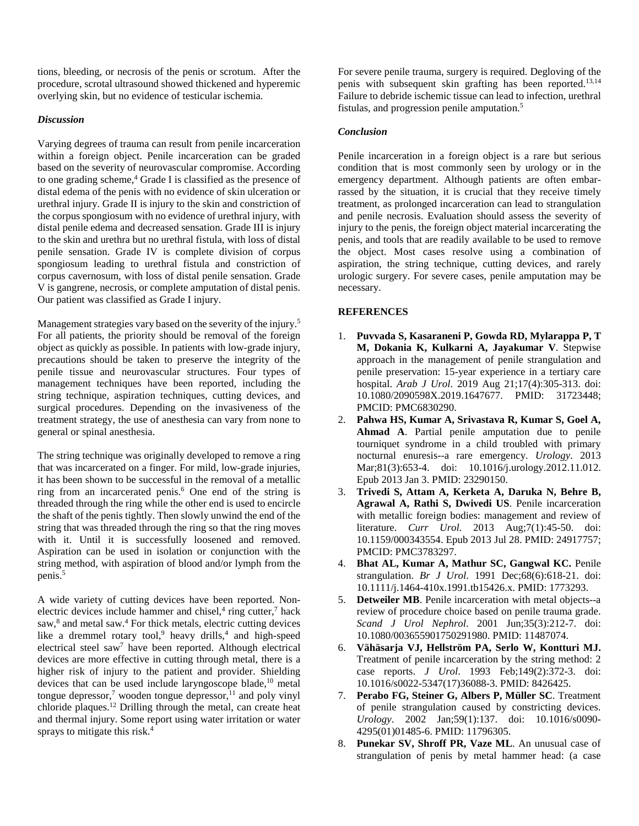tions, bleeding, or necrosis of the penis or scrotum. After the procedure, scrotal ultrasound showed thickened and hyperemic overlying skin, but no evidence of testicular ischemia.

# *Discussion*

Varying degrees of trauma can result from penile incarceration within a foreign object. Penile incarceration can be graded based on the severity of neurovascular compromise. According to one grading scheme, <sup>4</sup> Grade I is classified as the presence of distal edema of the penis with no evidence of skin ulceration or urethral injury. Grade II is injury to the skin and constriction of the corpus spongiosum with no evidence of urethral injury, with distal penile edema and decreased sensation. Grade III is injury to the skin and urethra but no urethral fistula, with loss of distal penile sensation. Grade IV is complete division of corpus spongiosum leading to urethral fistula and constriction of corpus cavernosum, with loss of distal penile sensation. Grade V is gangrene, necrosis, or complete amputation of distal penis. Our patient was classified as Grade I injury.

Management strategies vary based on the severity of the injury.<sup>5</sup> For all patients, the priority should be removal of the foreign object as quickly as possible. In patients with low-grade injury, precautions should be taken to preserve the integrity of the penile tissue and neurovascular structures. Four types of management techniques have been reported, including the string technique, aspiration techniques, cutting devices, and surgical procedures. Depending on the invasiveness of the treatment strategy, the use of anesthesia can vary from none to general or spinal anesthesia.

The string technique was originally developed to remove a ring that was incarcerated on a finger. For mild, low-grade injuries, it has been shown to be successful in the removal of a metallic ring from an incarcerated penis. <sup>6</sup> One end of the string is threaded through the ring while the other end is used to encircle the shaft of the penis tightly. Then slowly unwind the end of the string that was threaded through the ring so that the ring moves with it. Until it is successfully loosened and removed. Aspiration can be used in isolation or conjunction with the string method, with aspiration of blood and/or lymph from the penis. 5

A wide variety of cutting devices have been reported. Nonelectric devices include hammer and chisel,<sup>4</sup> ring cutter,<sup>7</sup> hack saw, <sup>8</sup> and metal saw. <sup>4</sup> For thick metals, electric cutting devices like a dremmel rotary tool,<sup>9</sup> heavy drills,<sup>4</sup> and high-speed electrical steel saw7 have been reported. Although electrical devices are more effective in cutting through metal, there is a higher risk of injury to the patient and provider. Shielding devices that can be used include laryngoscope blade, <sup>10</sup> metal tongue depressor, <sup>7</sup> wooden tongue depressor, <sup>11</sup> and poly vinyl chloride plaques. <sup>12</sup> Drilling through the metal, can create heat and thermal injury. Some report using water irritation or water sprays to mitigate this risk. 4

For severe penile trauma, surgery is required. Degloving of the penis with subsequent skin grafting has been reported. 13,14 Failure to debride ischemic tissue can lead to infection, urethral fistulas, and progression penile amputation. 5

### *Conclusion*

Penile incarceration in a foreign object is a rare but serious condition that is most commonly seen by urology or in the emergency department. Although patients are often embarrassed by the situation, it is crucial that they receive timely treatment, as prolonged incarceration can lead to strangulation and penile necrosis. Evaluation should assess the severity of injury to the penis, the foreign object material incarcerating the penis, and tools that are readily available to be used to remove the object. Most cases resolve using a combination of aspiration, the string technique, cutting devices, and rarely urologic surgery. For severe cases, penile amputation may be necessary.

#### **REFERENCES**

- 1. **Puvvada S, Kasaraneni P, Gowda RD, Mylarappa P, T M, Dokania K, Kulkarni A, Jayakumar V**. Stepwise approach in the management of penile strangulation and penile preservation: 15-year experience in a tertiary care hospital. *Arab J Urol*. 2019 Aug 21;17(4):305-313. doi: 10.1080/2090598X.2019.1647677. PMID: 31723448; PMCID: PMC6830290.
- 2. **Pahwa HS, Kumar A, Srivastava R, Kumar S, Goel A, Ahmad A**. Partial penile amputation due to penile tourniquet syndrome in a child troubled with primary nocturnal enuresis--a rare emergency. *Urology*. 2013 Mar;81(3):653-4. doi: 10.1016/j.urology.2012.11.012. Epub 2013 Jan 3. PMID: 23290150.
- 3. **Trivedi S, Attam A, Kerketa A, Daruka N, Behre B, Agrawal A, Rathi S, Dwivedi US**. Penile incarceration with metallic foreign bodies: management and review of literature. *Curr Urol.* 2013 Aug;7(1):45-50. doi: 10.1159/000343554. Epub 2013 Jul 28. PMID: 24917757; PMCID: PMC3783297.
- 4. **Bhat AL, Kumar A, Mathur SC, Gangwal KC.** Penile strangulation. *Br J Urol*. 1991 Dec;68(6):618-21. doi: 10.1111/j.1464-410x.1991.tb15426.x. PMID: 1773293.
- 5. **Detweiler MB**. Penile incarceration with metal objects--a review of procedure choice based on penile trauma grade. *Scand J Urol Nephrol*. 2001 Jun;35(3):212-7. doi: 10.1080/003655901750291980. PMID: 11487074.
- 6. **Vähäsarja VJ, Hellström PA, Serlo W, Kontturi MJ.** Treatment of penile incarceration by the string method: 2 case reports. *J Urol*. 1993 Feb;149(2):372-3. doi: 10.1016/s0022-5347(17)36088-3. PMID: 8426425.
- 7. **Perabo FG, Steiner G, Albers P, Müller SC**. Treatment of penile strangulation caused by constricting devices. *Urology*. 2002 Jan;59(1):137. doi: 10.1016/s0090- 4295(01)01485-6. PMID: 11796305.
- 8. **Punekar SV, Shroff PR, Vaze ML**. An unusual case of strangulation of penis by metal hammer head: (a case